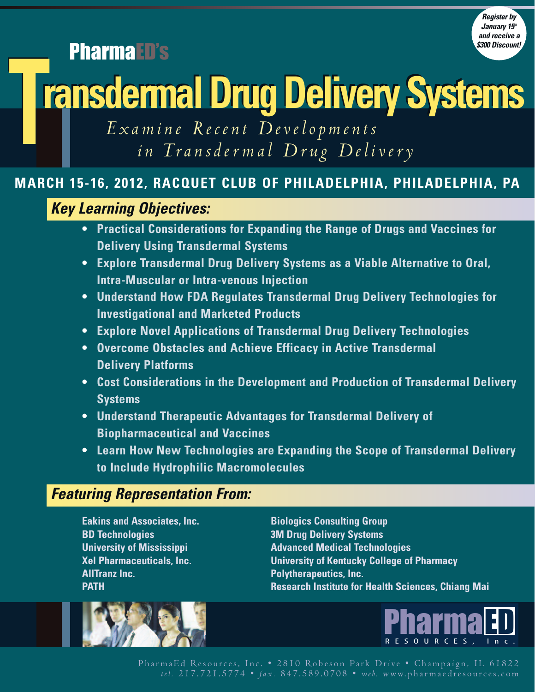*Register by January* 15<sup>th</sup> *and receive a \$300 Discount!*

PharmaED's

# **TransdermalDrugDeliverySystems TransdermalDrugDeliverySystems**

*E x a m ine Re c ent Deve lop m ent s in Transder m al Dr u g De l ivery*

# **MARCH 15-16, 2012, RACQUET CLUB OF PHILADELPHIA, PHILADELPHIA, PA**

# *Key Learning Objectives:*

- **• Practical Considerations for Expanding the Range of Drugs and Vaccines for Delivery Using Transdermal Systems**
- **• Explore Transdermal Drug Delivery Systems as a Viable Alternative to Oral, Intra-Muscular or Intra-venous Injection**
- **• Understand How FDA Regulates Transdermal Drug Delivery Technologies for Investigational and Marketed Products**
- **• Explore Novel Applications of Transdermal Drug Delivery Technologies**
- **• Overcome Obstacles and Achieve Efficacy in Active Transdermal Delivery Platforms**
- **• Cost Considerations in the Development and Production of Transdermal Delivery Systems**
- **• Understand Therapeutic Advantages for Transdermal Delivery of Biopharmaceutical and Vaccines**
- **• Learn How New Technologies are Expanding the Scope of Transdermal Delivery to Include Hydrophilic Macromolecules**

# *Featuring Representation From:*

**Eakins and Associates, Inc. Biologics Consulting Group BD Technologies 3M Drug Delivery Systems AllTranz Inc. Polytherapeutics, Inc.**

**University of Mississippi Advanced Medical Technologies Xel Pharmaceuticals, Inc. University of Kentucky College of Pharmacy PATH Research Institute for Health Sciences, Chiang Mai**



PharmaEd Resources, Inc. • 2810 Robeson Park Drive • Champaign, IL 61822 *t e l .* 2 1 7 . 7 2 1 . 5 7 7 4 • *fa x .* 8 4 7 . 5 8 9 . 0 7 0 8 • *web.* www. p h ar m ae d res o u rces.c o m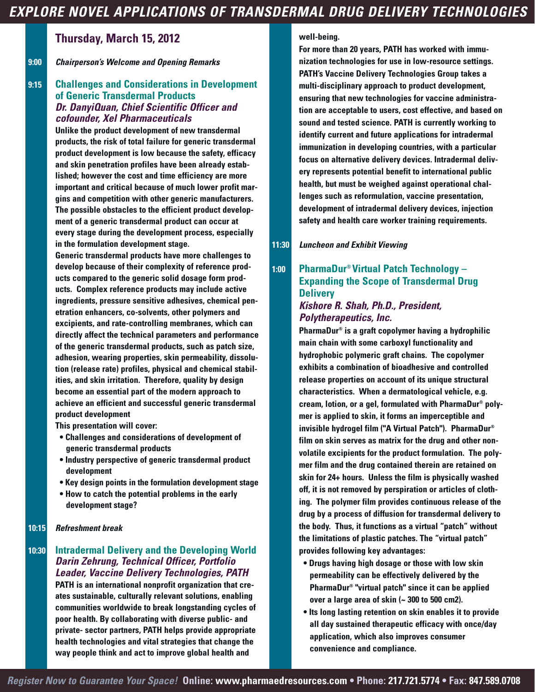# *EXPLORE NOVEL APPLICATIONS OF TRANSDERMAL DRUG DELIVERY TECHNOLOGIES*

## **Thursday, March 15, 2012**

**9:00** *Chairperson's Welcome and Opening Remarks*

#### **9:15 Challenges and Considerations in Development of Generic Transdermal Products** *Dr. DanyiQuan, Chief Scientific Officer and cofounder, Xel Pharmaceuticals*

**Unlike the product development of new transdermal products, the risk of total failure for generic transdermal product development is low because the safety, efficacy and skin penetration profiles have been already established; however the cost and time efficiency are more important and critical because of much lower profit margins and competition with other generic manufacturers. The possible obstacles to the efficient product development of a generic transdermal product can occur at every stage during the development process, especially in the formulation development stage.**

**Generic transdermal products have more challenges to develop because of their complexity of reference products compared to the generic solid dosage form products. Complex reference products may include active ingredients, pressure sensitive adhesives, chemical penetration enhancers, co-solvents, other polymers and excipients, and rate-controlling membranes, which can directly affect the technical parameters and performance of the generic transdermal products, such as patch size, adhesion, wearing properties, skin permeability, dissolution (release rate) profiles, physical and chemical stabilities, and skin irritation. Therefore, quality by design become an essential part of the modern approach to achieve an efficient and successful generic transdermal product development**

**This presentation will cover:**

- **• Challenges and considerations of development of generic transdermal products**
- **• Industry perspective of generic transdermal product development**
- **• Key design points in the formulation development stage**
- **• How to catch the potential problems in the early development stage?**

#### **10:15** *Refreshment break*

#### **10:30 Intradermal Delivery and the Developing World** *Darin Zehrung, Technical Officer, Portfolio Leader, Vaccine Delivery Technologies, PATH* **PATH is an international nonprofit organization that creates sustainable, culturally relevant solutions, enabling communities worldwide to break longstanding cycles of poor health. By collaborating with diverse public- and private- sector partners, PATH helps provide appropriate health technologies and vital strategies that change the way people think and act to improve global health and**

#### **well-being.**

**For more than 20 years, PATH has worked with immunization technologies for use in low-resource settings. PATH's Vaccine Delivery Technologies Group takes a multi-disciplinary approach to product development, ensuring that new technologies for vaccine administration are acceptable to users, cost effective, and based on sound and tested science. PATH is currently working to identify current and future applications for intradermal immunization in developing countries, with a particular focus on alternative delivery devices. Intradermal delivery represents potential benefit to international public health, but must be weighed against operational challenges such as reformulation, vaccine presentation, development of intradermal delivery devices, injection safety and health care worker training requirements.**

**11:30** *Luncheon and Exhibit Viewing*

#### **1:00 PharmaDur ® Virtual Patch Technology – Expanding the Scope of Transdermal Drug Delivery** *Kishore R. Shah, Ph.D., President,*

# *Polytherapeutics, Inc.*

**PharmaDur ® is a graft copolymer having a hydrophilic main chain with some carboxyl functionality and hydrophobic polymeric graft chains. The copolymer exhibits a combination of bioadhesive and controlled release properties on account of its unique structural characteristics. When a dermatological vehicle, e.g. cream, lotion, or a gel, formulated with PharmaDur ® polymer is applied to skin, it forms an imperceptible and invisible hydrogel film ("A Virtual Patch"). PharmaDur ® film on skin serves as matrix for the drug and other nonvolatile excipients for the product formulation. The polymer film and the drug contained therein are retained on skin for 24+ hours. Unless the film is physically washed off, it is not removed by perspiration or articles of clothing. The polymer film provides continuous release of the drug by a process of diffusion for transdermal delivery to the body. Thus, it functions as a virtual "patch" without the limitations of plastic patches. The "virtual patch" provides following key advantages:**

- **• Drugs having high dosage or those with low skin permeability can be effectively delivered by the PharmaDur ® "virtual patch" since it can be applied over a large area of skin (~ 300 to 500 cm2).**
- **• Its long lasting retention on skin enables it to provide all day sustained therapeutic efficacy with once/day application, which also improves consumer convenience and compliance.**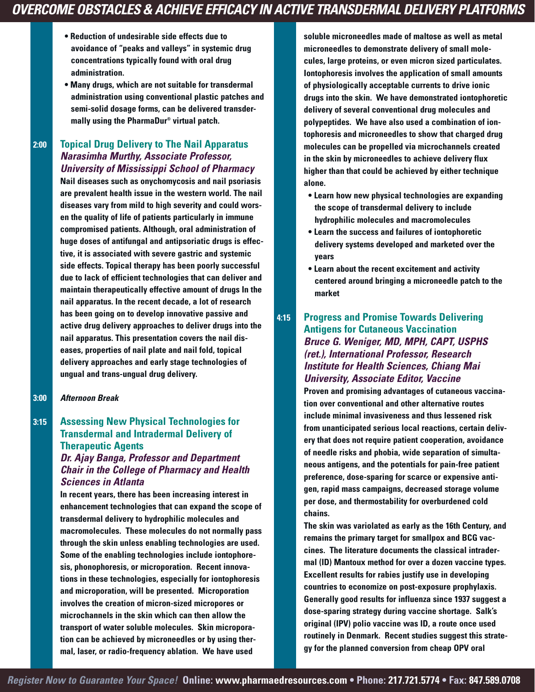# *OVERCOME OBSTACLES & ACHIEVE EFFICACY IN ACTIVE TRANSDERMAL DELIVERY PLATFORMS*

- **• Reduction of undesirable side effects due to avoidance of "peaks and valleys" in systemic drug concentrations typically found with oral drug administration.**
- **• Many drugs, which are not suitable for transdermal administration using conventional plastic patches and semi-solid dosage forms, can be delivered transdermally using the PharmaDur ® virtual patch.**

#### **2:00 Topical Drug Delivery to The Nail Apparatus** *Narasimha Murthy, Associate Professor, University of Mississippi School of Pharmacy*

**Nail diseases such as onychomycosis and nail psoriasis are prevalent health issue in the western world. The nail diseases vary from mild to high severity and could worsen the quality of life of patients particularly in immune compromised patients. Although, oral administration of huge doses of antifungal and antipsoriatic drugs is effective, it is associated with severe gastric and systemic side effects. Topical therapy has been poorly successful due to lack of efficient technologies that can deliver and maintain therapeutically effective amount of drugs In the nail apparatus. In the recent decade, a lot of research has been going on to develop innovative passive and active drug delivery approaches to deliver drugs into the nail apparatus. This presentation covers the nail diseases, properties of nail plate and nail fold, topical delivery approaches and early stage technologies of ungual and trans-ungual drug delivery.**

#### **3:00** *Afternoon Break*

#### **3:15 Assessing New Physical Technologies for Transdermal and Intradermal Delivery of Therapeutic Agents** *Dr. Ajay Banga, Professor and Department Chair in the College of Pharmacy and Health Sciences in Atlanta*

**In recent years, there has been increasing interest in enhancement technologies that can expand the scope of transdermal delivery to hydrophilic molecules and macromolecules. These molecules do not normally pass through the skin unless enabling technologies are used. Some of the enabling technologies include iontophoresis, phonophoresis, or microporation. Recent innovations in these technologies, especially for iontophoresis and microporation, will be presented. Microporation involves the creation of micron-sized micropores or microchannels in the skin which can then allow the transport of water soluble molecules. Skin microporation can be achieved by microneedles or by using thermal, laser, or radio-frequency ablation. We have used**

**soluble microneedles made of maltose as well as metal microneedles to demonstrate delivery of small molecules, large proteins, or even micron sized particulates. Iontophoresis involves the application of small amounts of physiologically acceptable currents to drive ionic drugs into the skin. We have demonstrated iontophoretic delivery of several conventional drug molecules and polypeptides. We have also used a combination of iontophoresis and microneedles to show that charged drug molecules can be propelled via microchannels created in the skin by microneedles to achieve delivery flux higher than that could be achieved by either technique alone.**

- **• Learn how new physical technologies are expanding the scope of transdermal delivery to include hydrophilic molecules and macromolecules**
- **• Learn the success and failures of iontophoretic delivery systems developed and marketed over the years**
- **• Learn about the recent excitement and activity centered around bringing a microneedle patch to the market**

#### **4:15 Progress and Promise Towards Delivering Antigens for Cutaneous Vaccination** *Bruce G. Weniger, MD, MPH, CAPT, USPHS (ret.), International Professor, Research Institute for Health Sciences, Chiang Mai University, Associate Editor, Vaccine*

**Proven and promising advantages of cutaneous vaccination over conventional and other alternative routes include minimal invasiveness and thus lessened risk from unanticipated serious local reactions, certain delivery that does not require patient cooperation, avoidance of needle risks and phobia, wide separation of simultaneous antigens, and the potentials for pain-free patient preference, dose-sparing for scarce or expensive antigen, rapid mass campaigns, decreased storage volume per dose, and thermostability for overburdened cold chains.**

**The skin was variolated as early as the 16th Century, and remains the primary target for smallpox and BCG vaccines. The literature documents the classical intradermal (ID) Mantoux method for over a dozen vaccine types. Excellent results for rabies justify use in developing countries to economize on post-exposure prophylaxis. Generally good results for influenza since 1937 suggest a dose-sparing strategy during vaccine shortage. Salk's original (IPV) polio vaccine was ID, a route once used routinely in Denmark. Recent studies suggest this strategy for the planned conversion from cheap OPV oral**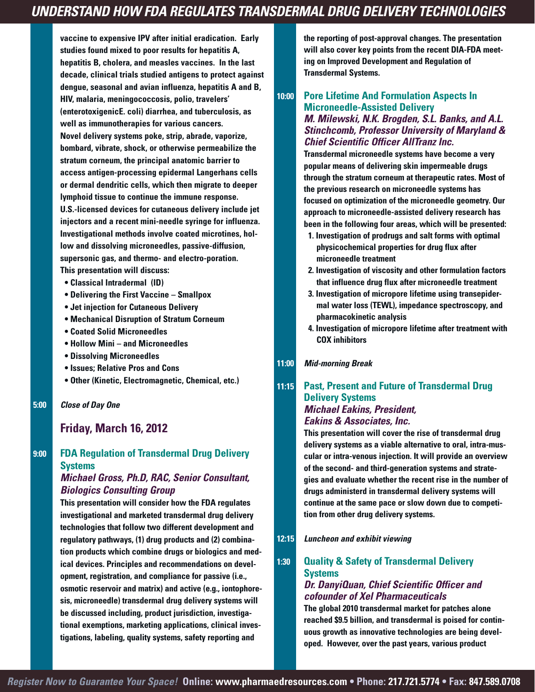**vaccine to expensive IPV after initial eradication. Early studies found mixed to poor results for hepatitis A, hepatitis B, cholera, and measles vaccines. In the last decade, clinical trials studied antigens to protect against dengue, seasonal and avian influenza, hepatitis A and B, HIV, malaria, meningococcosis, polio, travelers' (enterotoxigenicE. coli) diarrhea, and tuberculosis, as well as immunotherapies for various cancers. Novel delivery systems poke, strip, abrade, vaporize, bombard, vibrate, shock, or otherwise permeabilize the stratum corneum, the principal anatomic barrier to access antigen-processing epidermal Langerhans cells or dermal dendritic cells, which then migrate to deeper lymphoid tissue to continue the immune response. U.S.-licensed devices for cutaneous delivery include jet injectors and a recent mini-needle syringe for influenza. Investigational methods involve coated microtines, hollow and dissolving microneedles, passive-diffusion, supersonic gas, and thermo- and electro-poration. This presentation will discuss:**

- **• Classical Intradermal (ID)**
- **• Delivering the First Vaccine – Smallpox**
- **• Jet injection for Cutaneous Delivery**
- **• Mechanical Disruption of Stratum Corneum**
- **• Coated Solid Microneedles**
- **• Hollow Mini – and Microneedles**
- **• Dissolving Microneedles**
- **• Issues; Relative Pros and Cons**
- **• Other (Kinetic, Electromagnetic, Chemical, etc.)**

**5:00** *Close of Day One*

## **Friday, March 16, 2012**

#### **9:00 FDA Regulation of Transdermal Drug Delivery Systems**

#### *Michael Gross, Ph.D, RAC, Senior Consultant, Biologics Consulting Group*

**This presentation will consider how the FDA regulates investigational and marketed transdermal drug delivery technologies that follow two different development and regulatory pathways, (1) drug products and (2) combination products which combine drugs or biologics and medical devices. Principles and recommendations on development, registration, and compliance for passive (i.e., osmotic reservoir and matrix) and active (e.g., iontophoresis, microneedle) transdermal drug delivery systems will be discussed including, product jurisdiction, investigational exemptions, marketing applications, clinical investigations, labeling, quality systems, safety reporting and**

**the reporting of post-approval changes. The presentation will also cover key points from the recent DIA-FDA meeting on Improved Development and Regulation of Transdermal Systems.**

#### **10:00 Pore Lifetime And Formulation Aspects In Microneedle-Assisted Delivery** *M. Milewski, N.K. Brogden, S.L. Banks, and A.L. Stinchcomb, Professor University of Maryland & Chief Scientific Officer AllTranz Inc.*

**Transdermal microneedle systems have become a very popular means of delivering skin impermeable drugs through the stratum corneum at therapeutic rates. Most of the previous research on microneedle systems has focused on optimization of the microneedle geometry. Our approach to microneedle-assisted delivery research has been in the following four areas, which will be presented:**

- **1. Investigation of prodrugs and salt forms with optimal physicochemical properties for drug flux after microneedle treatment**
- **2. Investigation of viscosity and other formulation factors that influence drug flux after microneedle treatment**
- **3. Investigation of micropore lifetime using transepidermal water loss (TEWL), impedance spectroscopy, and pharmacokinetic analysis**
- **4. Investigation of micropore lifetime after treatment with COX inhibitors**

#### **11:00** *Mid-morning Break*

#### **11:15 Past, Present and Future of Transdermal Drug Delivery Systems** *Michael Eakins, President, Eakins & Associates, Inc.*

**This presentation will cover the rise of transdermal drug delivery systems as a viable alternative to oral, intra-muscular or intra-venous injection. It will provide an overview of the second- and third-generation systems and strategies and evaluate whether the recent rise in the number of drugs administerd in transdermal delivery systems will continue at the same pace or slow down due to competition from other drug delivery systems.**

**12:15** *Luncheon and exhibit viewing*

#### **1:30 Quality & Safety of Transdermal Delivery Systems** *Dr. DanyiQuan, Chief Scientific Officer and*

#### *cofounder of Xel Pharmaceuticals*

**The global 2010 transdermal market for patches alone reached \$9.5 billion, and transdermal is poised for continuous growth as innovative technologies are being developed. However, over the past years, various product**

*Register Now to Guarantee Your Space!* **Online: www.pharmaedresources.com • Phone: 217.721.5774 • Fax: 847.589.0708**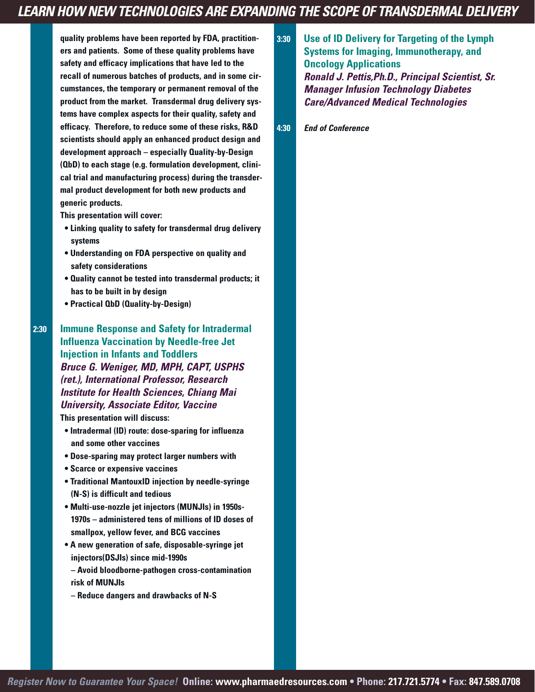# *LEARN HOW NEW TECHNOLOGIES ARE EXPANDING THE SCOPE OF TRANSDERMAL DELIVERY*

**quality problems have been reported by FDA, practitioners and patients. Some of these quality problems have safety and efficacy implications that have led to the recall of numerous batches of products, and in some circumstances, the temporary or permanent removal of the product from the market. Transdermal drug delivery systems have complex aspects for their quality, safety and efficacy. Therefore, to reduce some of these risks, R&D scientists should apply an enhanced product design and development approach – especially Quality-by-Design (QbD) to each stage (e.g. formulation development, clinical trial and manufacturing process) during the transdermal product development for both new products and generic products.**

**This presentation will cover:**

- **• Linking quality to safety for transdermal drug delivery systems**
- **• Understanding on FDA perspective on quality and safety considerations**
- **• Quality cannot be tested into transdermal products; it has to be built in by design**
- **• Practical QbD (Quality-by-Design)**

**2:30 Immune Response and Safety for Intradermal Influenza Vaccination by Needle-free Jet Injection in Infants and Toddlers** *Bruce G. Weniger, MD, MPH, CAPT, USPHS (ret.), International Professor, Research Institute for Health Sciences, Chiang Mai University, Associate Editor, Vaccine*

**This presentation will discuss:**

- **• Intradermal (ID) route: dose-sparing for influenza and some other vaccines**
- **• Dose-sparing may protect larger numbers with**
- **• Scarce or expensive vaccines**
- **• Traditional MantouxID injection by needle-syringe (N-S) is difficult and tedious**
- **• Multi-use-nozzle jet injectors (MUNJIs) in 1950s-1970s – administered tens of millions of ID doses of smallpox, yellow fever, and BCG vaccines**
- **• A new generation of safe, disposable-syringe jet injectors(DSJIs) since mid-1990s**
- **– Avoid bloodborne-pathogen cross-contamination risk of MUNJIs**
- **– Reduce dangers and drawbacks of N-S**

**3:30 Use of ID Delivery for Targeting of the Lymph Systems for Imaging, Immunotherapy, and Oncology Applications** *Ronald J. Pettis,Ph.D., Principal Scientist, Sr. Manager Infusion Technology Diabetes Care/Advanced Medical Technologies*

**4:30** *End of Conference*